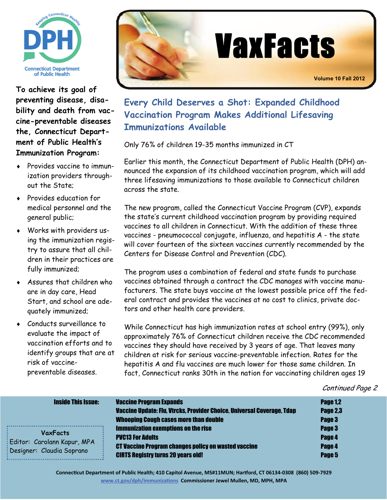

**To achieve its goal of preventing disease, disability and death from vaccine-preventable diseases the, Connecticut Department of Public Health's Immunization Program:** 

- Provides vaccine to immunization providers throughout the State;
- Provides education for medical personnel and the general public;
- Works with providers using the immunization registry to assure that all children in their practices are fully immunized;
- Assures that children who are in day care, Head Start, and school are adequately immunized;
- Conducts surveillance to evaluate the impact of vaccination efforts and to identify groups that are at risk of vaccinepreventable diseases.



**Every Child Deserves a Shot: Expanded Childhood Vaccination Program Makes Additional Lifesaving Immunizations Available** 

Only 76% of children 19-35 months immunized in CT

Earlier this month, the Connecticut Department of Public Health (DPH) announced the expansion of its childhood vaccination program, which will add three lifesaving immunizations to those available to Connecticut children across the state.

The new program, called the Connecticut Vaccine Program (CVP), expands the state's current childhood vaccination program by providing required vaccines to all children in Connecticut. With the addition of these three vaccines - pneumococcal conjugate, influenza, and hepatitis A - the state will cover fourteen of the sixteen vaccines currently recommended by the Centers for Disease Control and Prevention (CDC).

The program uses a combination of federal and state funds to purchase vaccines obtained through a contract the CDC manages with vaccine manufacturers. The state buys vaccine at the lowest possible price off the federal contract and provides the vaccines at no cost to clinics, private doctors and other health care providers.

While Connecticut has high immunization rates at school entry (99%), only approximately 76% of Connecticut children receive the CDC recommended vaccines they should have received by 3 years of age. That leaves many children at risk for serious vaccine-preventable infection. Rates for the hepatitis A and flu vaccines are much lower for those same children. In fact, Connecticut ranks 30th in the nation for vaccinating children ages 19

#### Continued Page 2

| <b>Inside This Issue:</b>                                                   | <b>Vaccine Program Expands</b><br>Vaccine Update: Flu, Vtrcks, Provider Choice, Universal Coverage, Tdap<br><b>Whooping Cough cases more than double</b>                         | <b>Page 1,2</b><br><b>Page 2.3</b><br>Page 3 |
|-----------------------------------------------------------------------------|----------------------------------------------------------------------------------------------------------------------------------------------------------------------------------|----------------------------------------------|
| <b>VaxFacts</b><br>Editor: Carolann Kapur, MPA<br>Designer: Claudia Soprano | <b>Immunization exemptions on the rise</b><br><b>PVC13 For Adults</b><br><b>CT Vaccine Program changes policy on wasted vaccine</b><br><b>CIRTS Registry turns 20 years old!</b> | Page 3<br>Page 4<br>Page 4<br>Page 5         |

**ConnecƟcut Department of Public Health; 410 Capitol Avenue, MS#11MUN; Harƞord, CT 06134‐0308 (860) 509‐7929 [www.ct.gov/dph/immuniza](http://www.ct.gov/dph/immunizations)tions Commissioner Jewel Mullen, MD, MPH, MPA**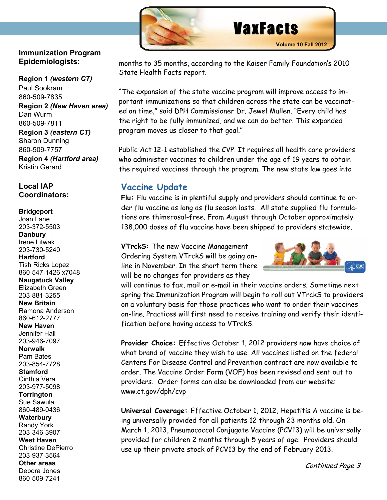

### <span id="page-1-0"></span>**Immunization Program Epidemiologists:**

ׇ֦֘֡֡

**Region 1** *(western CT)*  Paul Sookram 860-509-7835 **Region 2** *(New Haven area)*  Dan Wurm 860-509-7811 **Region 3** *(eastern CT)* Sharon Dunning 860-509-7757 **Region 4** *(Hartford area)* Kristin Gerard

## **Local IAP Coordinators:**

#### **Bridgeport**

Joan Lane 203-372-5503 **Danbury**  Irene Litwak 203-730-5240 **Hartford**  Tish Ricks Lopez 860-547-1426 x7048 **Naugatuck Valley**  Elizabeth Green 203-881-3255 **New Britain**  Ramona Anderson 860-612-2777 **New Haven**  Jennifer Hall 203-946-7097 **Norwalk**  Pam Bates 203-854-7728 **Stamford**  Cinthia Vera 203-977-5098 **Torrington**  Sue Sawula 860-489-0436 **Waterbury**  Randy York 203-346-3907 **West Haven**  Christine DePierro 203-937-3564 **Other areas**  Debora Jones 860-509-7241

months to 35 months, according to the Kaiser Family Foundation's 2010 State Health Facts report.

"The expansion of the state vaccine program will improve access to important immunizations so that children across the state can be vaccinated on time," said DPH Commissioner Dr. Jewel Mullen. "Every child has the right to be fully immunized, and we can do better. This expanded program moves us closer to that goal."

Public Act 12-1 established the CVP. It requires all health care providers who administer vaccines to children under the age of 19 years to obtain the required vaccines through the program. The new state law goes into

## **Vaccine Update**

**Flu:** Flu vaccine is in plentiful supply and providers should continue to order flu vaccine as long as flu season lasts. All state supplied flu formulations are thimerosal-free. From August through October approximately 138,000 doses of flu vaccine have been shipped to providers statewide.

**VTrckS:** The new Vaccine Management Ordering System VTrckS will be going online in November. In the short term there will be no changes for providers as they



will continue to fax, mail or e-mail in their vaccine orders. Sometime next spring the Immunization Program will begin to roll out VTrckS to providers on a voluntary basis for those practices who want to order their vaccines on-line. Practices will first need to receive training and verify their identification before having access to VTrckS.

**Provider Choice:** Effective October 1, 2012 providers now have choice of what brand of vaccine they wish to use. All vaccines listed on the federal Centers For Disease Control and Prevention contract are now available to order. The Vaccine Order Form (VOF) has been revised and sent out to providers. Order forms can also be downloaded from our website: [www.ct.gov/dph/cvp](http://www.ct.gov/dph/cvp) 

**Universal Coverage:** Effective October 1, 2012, Hepatitis A vaccine is being universally provided for all patients 12 through 23 months old. On March 1, 2013, Pneumococcal Conjugate Vaccine (PCV13) will be universally provided for children 2 months through 5 years of age. Providers should use up their private stock of PCV13 by the end of February 2013.

Continued Page 3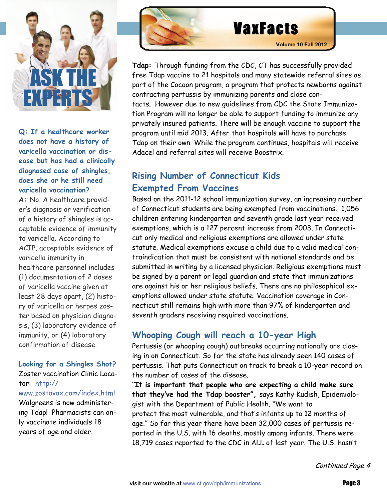

## **Q: If a healthcare worker does not have a history of varicella vaccination or disease but has had a clinically diagnosed case of shingles, does she or he still need varicella vaccination?**

**A:** No. A healthcare provider's diagnosis or verification of a history of shingles is acceptable evidence of immunity to varicella. According to ACIP, acceptable evidence of varicella immunity in healthcare personnel includes (1) documentation of 2 doses of varicella vaccine given at least 28 days apart, (2) history of varicella or herpes zoster based on physician diagnosis, (3) laboratory evidence of immunity, or (4) laboratory confirmation of disease.

### **Looking for a Shingles Shot?**

Zoster vaccination Clinic Locator: [http:/](#page-3-0)[/](http://www.zostavax.com/index.html) [www.zostavax.com/index.htm](#page-3-0)[l](http://www.zostavax.com/index.html) 

Walgreens is now administering Tdap! Pharmacists can only vaccinate individuals 18 years of age and older.



**Tdap:** Through funding from the CDC, CT has successfully provided free Tdap vaccine to 21 hospitals and many statewide referral sites as part of the Cocoon program, a program that protects newborns against contracting pertussis by immunizing parents and close contacts. However due to new guidelines from CDC the State Immunization Program will no longer be able to support funding to immunize any privately insured patients. There will be enough vaccine to support the program until mid 2013. After that hospitals will have to purchase Tdap on their own. While the program continues, hospitals will receive Adacel and referral sites will receive Boostrix.

# **Rising Number of Connecticut Kids Exempted From Vaccines**

Based on the 2011-12 school immunization survey, an increasing number of Connecticut students are being exempted from vaccinations. 1,056 children entering kindergarten and seventh grade last year received exemptions, which is a 127 percent increase from 2003. In Connecticut only medical and religious exemptions are allowed under state statute. Medical exemptions excuse a child due to a valid medical contraindication that must be consistent with national standards and be submitted in writing by a licensed physician. Religious exemptions must be signed by a parent or legal guardian and state that immunizations are against his or her religious beliefs. There are no philosophical exemptions allowed under state statute. Vaccination coverage in Connecticut still remains high with more than 97% of kindergarten and seventh graders receiving required vaccinations.

# **Whooping Cough will reach a 10-year High**

Pertussis (or whooping [cough](#page-1-0)) outbreaks occurring nationally are closing in on Connecticut. So far the state has already seen 140 cases of pertussis. That puts Connecticut on track to break a 10-year record on the number of cases of the disease.

**"It is important that people who are expecting a child make sure that they've had the Tdap booster",** says Kathy Kudish, Epidemiologist with the Department of Public Health. "We want to protect the most vulnerable, and that's infants up to 12 months of age." So far this year there have been 32,000 cases of pertussis reported in the U.S. with 16 deaths, mostly among infants. There were 18,719 cases reported to the CDC in ALL of last year. The U.S. hasn't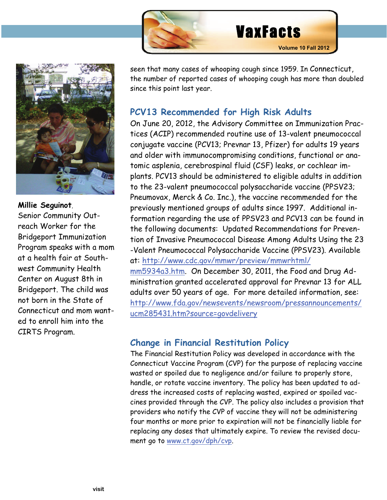

<span id="page-3-0"></span>

**Millie Seguinot**, Senior Community Outreach Worker for the Bridgeport Immunization Program speaks with a mom at a health fair at Southwest Community Health Center on August 8th in Bridgeport. The child was not born in the State of Connecticut and mom wanted to enroll him into the CIRTS Program.

seen that many cases of whooping cough since 1959. In Connecticut, the number of reported cases of whooping cough has more than doubled since this point last year.

# **PCV13 Recommended for High Risk Adults**

On June 20, 2012, the Advisory Committee on Immunization Practices (ACIP) recommended routine use of 13-valent pneumococcal conjugate vaccine (PCV13; Prevnar 13, Pfizer) for adults 19 years and older with immunocompromising conditions, functional or anatomic asplenia, cerebrospinal fluid (CSF) leaks, or cochlear implants. PCV13 should be administered to eligible adults in addition to the 23-valent pneumococcal polysaccharide vaccine (PPSV23; Pneumovax, Merck & Co. Inc.), the vaccine recommended for the previously mentioned groups of adults since 1997. Additional information regarding the use of PPSV23 and PCV13 can be found in the following documents: Updated Recommendations for Prevention of Invasive Pneumococcal Disease Among Adults Using the 23 -Valent Pneumococcal Polysaccharide Vaccine (PPSV23). Available at:<http://www.cdc.gov/mmwr/preview/mmwrhtml/> mm5934a3.htm. On December 30, 2011, the Food and Drug Administration granted accelerated approval for Prevnar 13 for ALL adults over 50 years of age. For more detailed information, see: [http://www.fda.gov/newsevents/newsroom/pressannouncements/](http://www.fda.gov/newsevents/newsroom/pressannouncements/ucm285431.htm?source=govdelivery) [ucm285431.htm?source=govdelivery](http://www.fda.gov/newsevents/newsroom/pressannouncements/ucm285431.htm?source=govdelivery)

# **Change in Financial Restitution Policy**

The Financial Restitution Policy was developed in accordance with the Connecticut Vaccine Program (CVP) for the purpose of replacing vaccine wasted or spoiled due to negligence and/or failure to properly store, handle, or rotate vaccine inventory. The policy has been updated to address the increased costs of replacing wasted, expired or spoiled vaccines provided through the CVP. The policy also includes a provision that providers who notify the CVP of vaccine they will not be administering four months or more prior to expiration will not be financially liable for replacing any doses that ultimately expire. To review the revised document go to [www.ct.gov/dph/cvp.](http://www.ct.gov/dph/cvp)